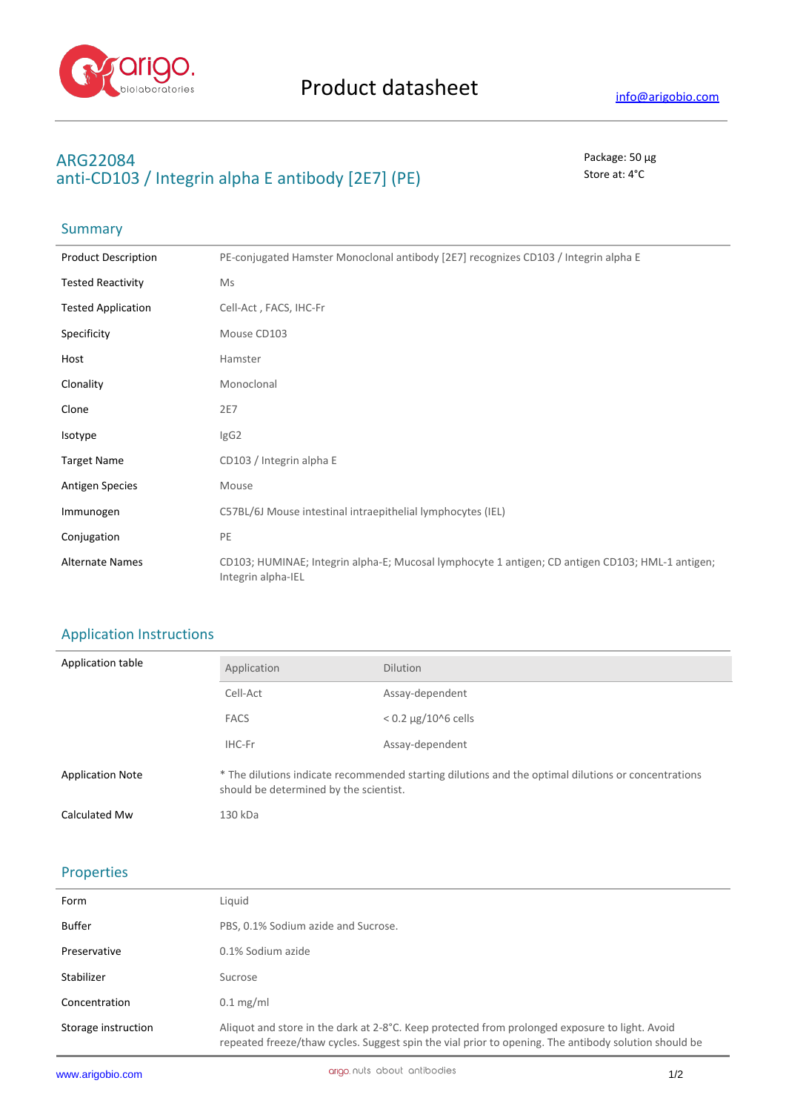

## **ARG22084** Package: 50 μg anti-CD103 / Integrin alpha E antibody [2E7] (PE) Store at: 4°C

# Summary

| <b>Product Description</b> | PE-conjugated Hamster Monoclonal antibody [2E7] recognizes CD103 / Integrin alpha E                                    |
|----------------------------|------------------------------------------------------------------------------------------------------------------------|
| <b>Tested Reactivity</b>   | Ms                                                                                                                     |
| <b>Tested Application</b>  | Cell-Act, FACS, IHC-Fr                                                                                                 |
| Specificity                | Mouse CD103                                                                                                            |
| Host                       | Hamster                                                                                                                |
| Clonality                  | Monoclonal                                                                                                             |
| Clone                      | 2E7                                                                                                                    |
| Isotype                    | lgG2                                                                                                                   |
| <b>Target Name</b>         | CD103 / Integrin alpha E                                                                                               |
| <b>Antigen Species</b>     | Mouse                                                                                                                  |
| Immunogen                  | C57BL/6J Mouse intestinal intraepithelial lymphocytes (IEL)                                                            |
| Conjugation                | PE                                                                                                                     |
| <b>Alternate Names</b>     | CD103; HUMINAE; Integrin alpha-E; Mucosal lymphocyte 1 antigen; CD antigen CD103; HML-1 antigen;<br>Integrin alpha-IEL |

### Application Instructions

| Application table       | Application                                                                                                                                   | <b>Dilution</b>              |
|-------------------------|-----------------------------------------------------------------------------------------------------------------------------------------------|------------------------------|
|                         | Cell-Act                                                                                                                                      | Assay-dependent              |
|                         | <b>FACS</b>                                                                                                                                   | $< 0.2 \mu g / 10^{6}$ cells |
|                         | IHC-Fr                                                                                                                                        | Assay-dependent              |
| <b>Application Note</b> | * The dilutions indicate recommended starting dilutions and the optimal dilutions or concentrations<br>should be determined by the scientist. |                              |
| Calculated Mw           | 130 kDa                                                                                                                                       |                              |

#### Properties

| Form                | Liquid                                                                                                                                                                                                 |
|---------------------|--------------------------------------------------------------------------------------------------------------------------------------------------------------------------------------------------------|
| Buffer              | PBS, 0.1% Sodium azide and Sucrose.                                                                                                                                                                    |
| Preservative        | 0.1% Sodium azide                                                                                                                                                                                      |
| Stabilizer          | Sucrose                                                                                                                                                                                                |
| Concentration       | $0.1 \text{ mg/ml}$                                                                                                                                                                                    |
| Storage instruction | Aliquot and store in the dark at 2-8°C. Keep protected from prolonged exposure to light. Avoid<br>repeated freeze/thaw cycles. Suggest spin the vial prior to opening. The antibody solution should be |